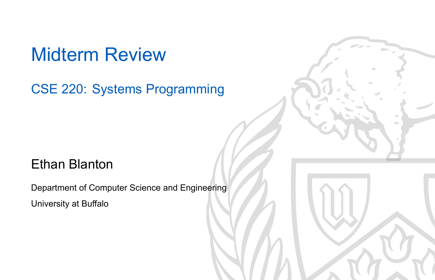### Midterm Review

CSE 220: Systems Programming

### Ethan Blanton

Department of Computer Science and Engineering University at Buffalo

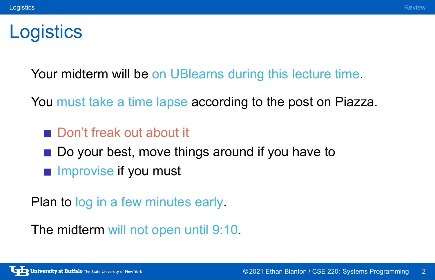#### Logistics Review of the Contract of the Contract of the Contract of the Contract of the Contract of the Review

# **Logistics**

Your midterm will be on UBlearns during this lecture time.

You must take a time lapse according to the post on Piazza.

- Don't freak out about it
- Do your best, move things around if you have to
- **Improvise if you must**

Plan to log in a few minutes early.

The midterm will not open until 9:10.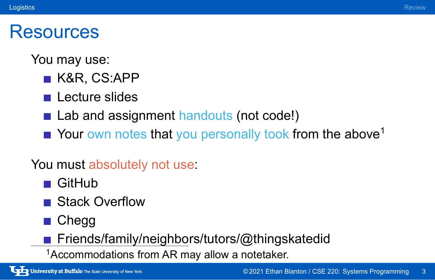#### Logistics Review of the Contract of the Contract of the Contract of the Contract of the Contract of the Review

### **Resources**

You may use:

- K&R, CS:APP
- **Lecture slides**
- Lab and assignment handouts (not code!)
- Your own notes that you personally took from the above<sup>1</sup>

### You must absolutely not use:

- **GitHub**
- Stack Overflow
- Chegg
- Friends/family/neighbors/tutors/@thingskatedid
- <sup>1</sup>Accommodations from AR may allow a notetaker.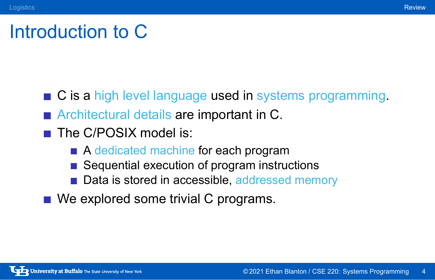### Introduction to C

- Logistics **Review Review of the Contract of Contract Contract Contract Contract Contract Contract Contract Contract Contract Contract Contract Contract Contract Contract Contract Contract Contract Contract Contract Contrac** 
	- C is a high level language used in systems programming.
	- **Architectural details are important in C.**
	- The C/POSIX model is:
		- A dedicated machine for each program
		- Sequential execution of program instructions
		- Data is stored in accessible, addressed memory
	- We explored some trivial C programs.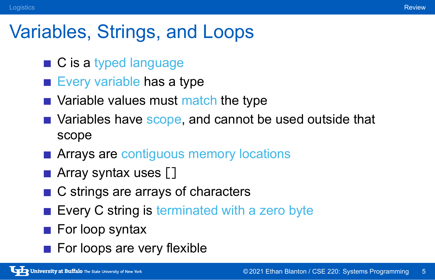## Variables, Strings, and Loops

- C is a typed language
- Every variable has a type
- Variable values must match the type
- Variables have scope, and cannot be used outside that scope
- **Arrays are contiguous memory locations**
- **Array syntax uses []**
- C strings are arrays of characters
- Every C string is terminated with a zero byte
- For loop syntax
- For loops are very flexible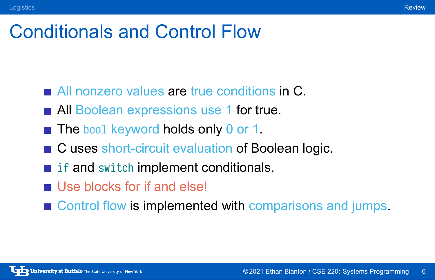# Conditionals and Control Flow

- All nonzero values are true conditions in C.
- **All Boolean expressions use 1 for true.**
- The bool keyword holds only 0 or 1.
- C uses short-circuit evaluation of Boolean logic.
- **if and switch implement conditionals.**
- Use blocks for if and else!
- Control flow is implemented with comparisons and jumps.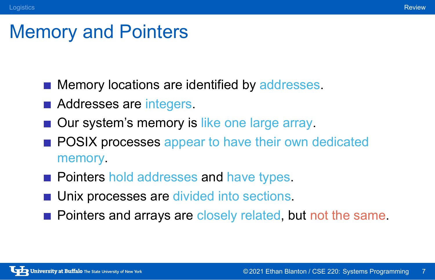## Memory and Pointers

- **Memory locations are identified by addresses.**
- **Addresses are integers.**
- Our system's memory is like one large array.
- **POSIX processes appear to have their own dedicated** memory.
- **Pointers hold addresses and have types.**
- **Unix processes are divided into sections.**
- Pointers and arrays are closely related, but not the same.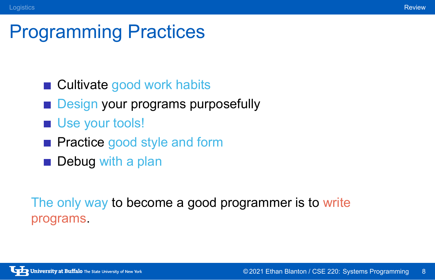## Programming Practices

- Cultivate good work habits
- **Design your programs purposefully**
- Use your tools!
- **Practice good style and form**
- Debug with a plan

The only way to become a good programmer is to write programs.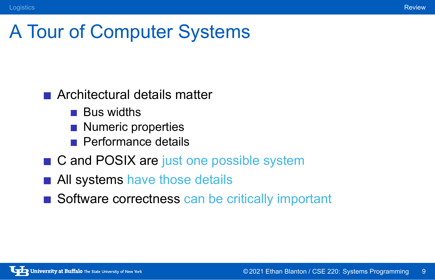# A Tour of Computer Systems

- Architectural details matter
	- **Bus widths**
	- Numeric properties
	- **Performance details**
- C and POSIX are just one possible system
- All systems have those details
- Software correctness can be critically important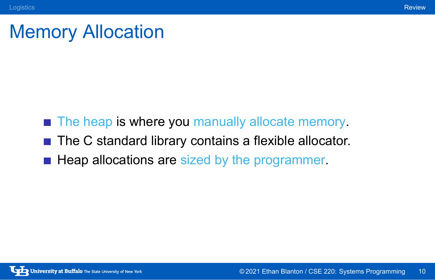# Memory Allocation

- The heap is where you manually allocate memory.
- The C standard library contains a flexible allocator.
- Heap allocations are sized by the programmer.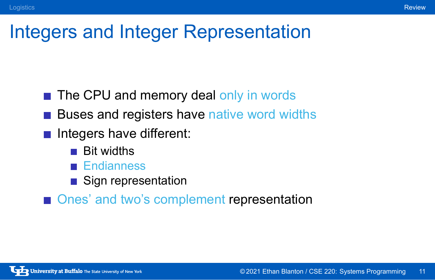# Integers and Integer Representation

- The CPU and memory deal only in words
- **Buses and registers have native word widths**
- Integers have different:
	- **Bit widths**
	- **Endianness**
	- Sign representation
- Ones' and two's complement representation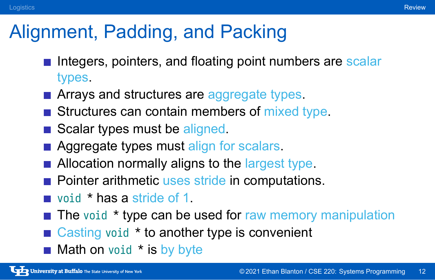## Alignment, Padding, and Packing

- Integers, pointers, and floating point numbers are scalar types.
- **EXTERGHEER Arrays and structures are aggregate types.**
- $\blacksquare$  Structures can contain members of mixed type.
- Scalar types must be aligned.
- **Aggregate types must align for scalars.**
- **Allocation normally aligns to the largest type.**
- **Pointer arithmetic uses stride in computations.**
- void \* has a stride of 1.
- $\blacksquare$  The void  $\star$  type can be used for raw memory manipulation
- Casting void \* to another type is convenient
- $\blacksquare$  Math on void  $*$  is by byte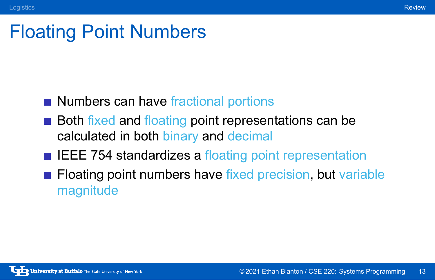# Floating Point Numbers

- Numbers can have fractional portions
- **Both fixed and floating point representations can be** calculated in both binary and decimal
- **IEEE 754 standardizes a floating point representation**
- **Floating point numbers have fixed precision, but variable** magnitude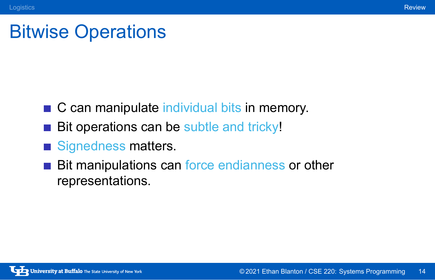# Bitwise Operations

C can manipulate individual bits in memory.

Logistics **Review Review of the Contract of Contract Contract Contract Contract Contract Contract Contract Contract Contract Contract Contract Contract Contract Contract Contract Contract Contract Contract Contract Contrac** 

- Bit operations can be subtle and tricky!
- Signedness matters.
- Bit manipulations can force endianness or other representations.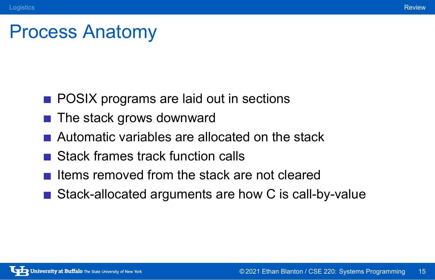# Process Anatomy

Logistics **Review Review of the Contract of Contract Contract Contract Contract Contract Contract Contract Contract Contract Contract Contract Contract Contract Contract Contract Contract Contract Contract Contract Contrac** 

- **POSIX programs are laid out in sections**
- $\blacksquare$  The stack grows downward
- Automatic variables are allocated on the stack
- Stack frames track function calls
- Items removed from the stack are not cleared
- Stack-allocated arguments are how C is call-by-value